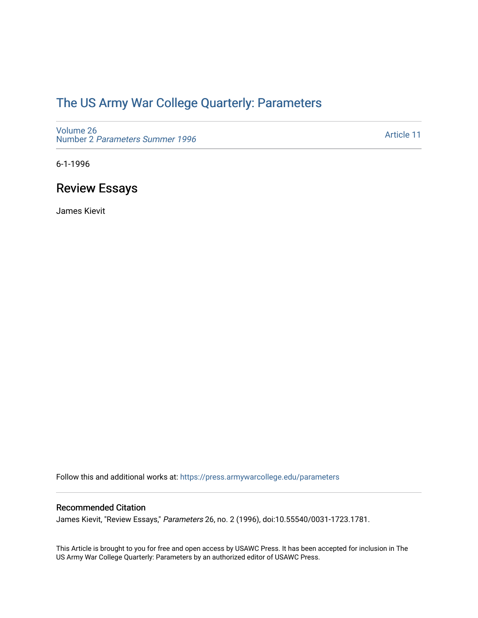# [The US Army War College Quarterly: Parameters](https://press.armywarcollege.edu/parameters)

[Volume 26](https://press.armywarcollege.edu/parameters/vol26) Number 2 [Parameters Summer 1996](https://press.armywarcollege.edu/parameters/vol26/iss2) 

[Article 11](https://press.armywarcollege.edu/parameters/vol26/iss2/11) 

6-1-1996

# Review Essays

James Kievit

Follow this and additional works at: [https://press.armywarcollege.edu/parameters](https://press.armywarcollege.edu/parameters?utm_source=press.armywarcollege.edu%2Fparameters%2Fvol26%2Fiss2%2F11&utm_medium=PDF&utm_campaign=PDFCoverPages) 

### Recommended Citation

James Kievit, "Review Essays," Parameters 26, no. 2 (1996), doi:10.55540/0031-1723.1781.

This Article is brought to you for free and open access by USAWC Press. It has been accepted for inclusion in The US Army War College Quarterly: Parameters by an authorized editor of USAWC Press.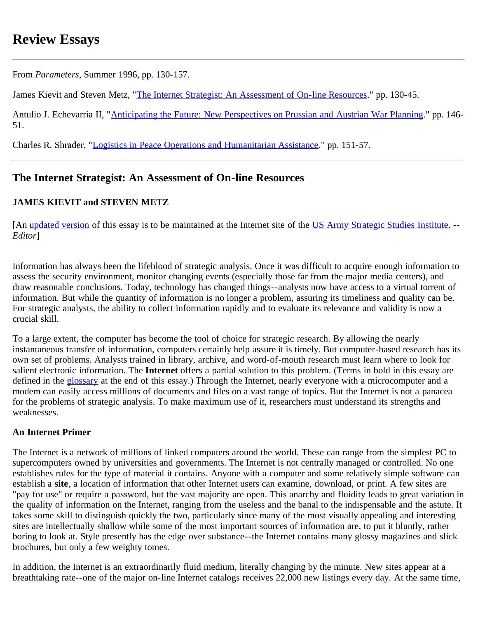# **Review Essays**

From *Parameters*, Summer 1996, pp. 130-157.

James Kievit and Steven Metz, "[The Internet Strategist: An Assessment of On-line Resources.](#page-1-0)" pp. 130-45.

Antulio J. Echevarria II, "[Anticipating the Future: New Perspectives on Prussian and Austrian War Planning.](#page-16-0)" pp. 146-51.

Charles R. Shrader, "[Logistics in Peace Operations and Humanitarian Assistance.](#page-20-0)" pp. 151-57.

# <span id="page-1-0"></span>**The Internet Strategist: An Assessment of On-line Resources**

# **JAMES KIEVIT and STEVEN METZ**

[An [updated version](http://carlisle-www.army.mil/usassi/ssipubs/ssirpts/internet/inetstss.htm) of this essay is to be maintained at the Internet site of the [US Army Strategic Studies Institute.](http://carlisle-www.army.mil/usassi/) --*Editor*]

Information has always been the lifeblood of strategic analysis. Once it was difficult to acquire enough information to assess the security environment, monitor changing events (especially those far from the major media centers), and draw reasonable conclusions. Today, technology has changed things--analysts now have access to a virtual torrent of information. But while the quantity of information is no longer a problem, assuring its timeliness and quality can be. For strategic analysts, the ability to collect information rapidly and to evaluate its relevance and validity is now a crucial skill.

To a large extent, the computer has become the tool of choice for strategic research. By allowing the nearly instantaneous transfer of information, computers certainly help assure it is timely. But computer-based research has its own set of problems. Analysts trained in library, archive, and word-of-mouth research must learn where to look for salient electronic information. The **Internet** offers a partial solution to this problem. (Terms in bold in this essay are defined in the [glossary](#page-9-0) at the end of this essay.) Through the Internet, nearly everyone with a microcomputer and a modem can easily access millions of documents and files on a vast range of topics. But the Internet is not a panacea for the problems of strategic analysis. To make maximum use of it, researchers must understand its strengths and weaknesses.

# **An Internet Primer**

The Internet is a network of millions of linked computers around the world. These can range from the simplest PC to supercomputers owned by universities and governments. The Internet is not centrally managed or controlled. No one establishes rules for the type of material it contains. Anyone with a computer and some relatively simple software can establish a **site**, a location of information that other Internet users can examine, download, or print. A few sites are "pay for use" or require a password, but the vast majority are open. This anarchy and fluidity leads to great variation in the quality of information on the Internet, ranging from the useless and the banal to the indispensable and the astute. It takes some skill to distinguish quickly the two, particularly since many of the most visually appealing and interesting sites are intellectually shallow while some of the most important sources of information are, to put it bluntly, rather boring to look at. Style presently has the edge over substance--the Internet contains many glossy magazines and slick brochures, but only a few weighty tomes.

In addition, the Internet is an extraordinarily fluid medium, literally changing by the minute. New sites appear at a breathtaking rate--one of the major on-line Internet catalogs receives 22,000 new listings every day. At the same time,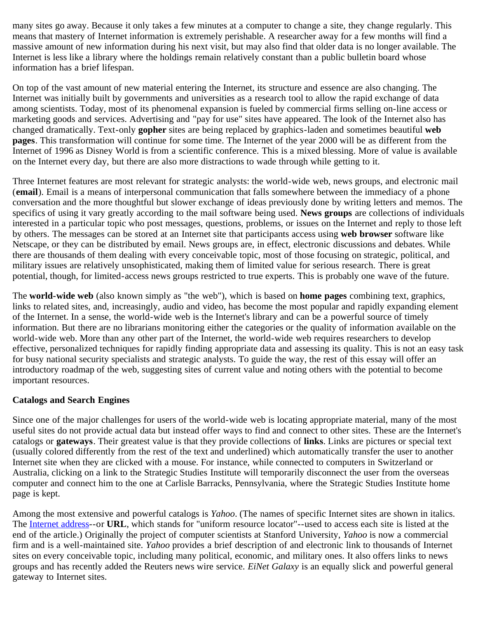many sites go away. Because it only takes a few minutes at a computer to change a site, they change regularly. This means that mastery of Internet information is extremely perishable. A researcher away for a few months will find a massive amount of new information during his next visit, but may also find that older data is no longer available. The Internet is less like a library where the holdings remain relatively constant than a public bulletin board whose information has a brief lifespan.

On top of the vast amount of new material entering the Internet, its structure and essence are also changing. The Internet was initially built by governments and universities as a research tool to allow the rapid exchange of data among scientists. Today, most of its phenomenal expansion is fueled by commercial firms selling on-line access or marketing goods and services. Advertising and "pay for use" sites have appeared. The look of the Internet also has changed dramatically. Text-only **gopher** sites are being replaced by graphics-laden and sometimes beautiful **web pages**. This transformation will continue for some time. The Internet of the year 2000 will be as different from the Internet of 1996 as Disney World is from a scientific conference. This is a mixed blessing. More of value is available on the Internet every day, but there are also more distractions to wade through while getting to it.

Three Internet features are most relevant for strategic analysts: the world-wide web, news groups, and electronic mail (**email**). Email is a means of interpersonal communication that falls somewhere between the immediacy of a phone conversation and the more thoughtful but slower exchange of ideas previously done by writing letters and memos. The specifics of using it vary greatly according to the mail software being used. **News groups** are collections of individuals interested in a particular topic who post messages, questions, problems, or issues on the Internet and reply to those left by others. The messages can be stored at an Internet site that participants access using **web browser** software like Netscape, or they can be distributed by email. News groups are, in effect, electronic discussions and debates. While there are thousands of them dealing with every conceivable topic, most of those focusing on strategic, political, and military issues are relatively unsophisticated, making them of limited value for serious research. There is great potential, though, for limited-access news groups restricted to true experts. This is probably one wave of the future.

The **world-wide web** (also known simply as "the web"), which is based on **home pages** combining text, graphics, links to related sites, and, increasingly, audio and video, has become the most popular and rapidly expanding element of the Internet. In a sense, the world-wide web is the Internet's library and can be a powerful source of timely information. But there are no librarians monitoring either the categories or the quality of information available on the world-wide web. More than any other part of the Internet, the world-wide web requires researchers to develop effective, personalized techniques for rapidly finding appropriate data and assessing its quality. This is not an easy task for busy national security specialists and strategic analysts. To guide the way, the rest of this essay will offer an introductory roadmap of the web, suggesting sites of current value and noting others with the potential to become important resources.

# **Catalogs and Search Engines**

Since one of the major challenges for users of the world-wide web is locating appropriate material, many of the most useful sites do not provide actual data but instead offer ways to find and connect to other sites. These are the Internet's catalogs or **gateways**. Their greatest value is that they provide collections of **links**. Links are pictures or special text (usually colored differently from the rest of the text and underlined) which automatically transfer the user to another Internet site when they are clicked with a mouse. For instance, while connected to computers in Switzerland or Australia, clicking on a link to the Strategic Studies Institute will temporarily disconnect the user from the overseas computer and connect him to the one at Carlisle Barracks, Pennsylvania, where the Strategic Studies Institute home page is kept.

Among the most extensive and powerful catalogs is *Yahoo*. (The names of specific Internet sites are shown in italics. The [Internet address-](#page-10-0)-or **URL**, which stands for "uniform resource locator"--used to access each site is listed at the end of the article.) Originally the project of computer scientists at Stanford University, *Yahoo* is now a commercial firm and is a well-maintained site. *Yahoo* provides a brief description of and electronic link to thousands of Internet sites on every conceivable topic, including many political, economic, and military ones. It also offers links to news groups and has recently added the Reuters news wire service. *EiNet Galaxy* is an equally slick and powerful general gateway to Internet sites.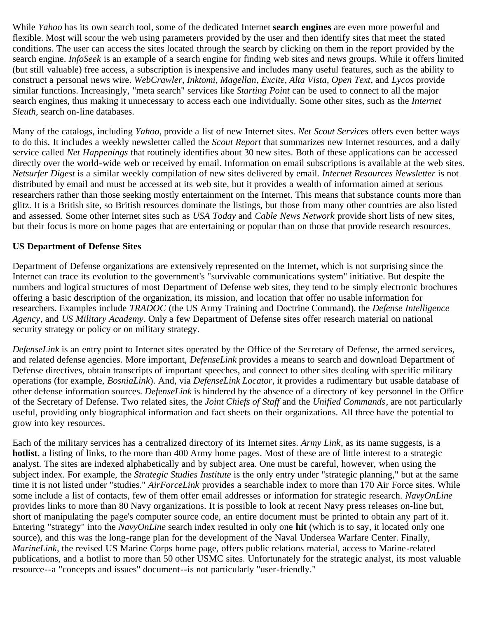While *Yahoo* has its own search tool, some of the dedicated Internet **search engines** are even more powerful and flexible. Most will scour the web using parameters provided by the user and then identify sites that meet the stated conditions. The user can access the sites located through the search by clicking on them in the report provided by the search engine. *InfoSeek* is an example of a search engine for finding web sites and news groups. While it offers limited (but still valuable) free access, a subscription is inexpensive and includes many useful features, such as the ability to construct a personal news wire. *WebCrawler*, *Inktomi*, *Magellan*, *Excite*, *Alta Vista*, *Open Text*, and *Lycos* provide similar functions. Increasingly, "meta search" services like *Starting Point* can be used to connect to all the major search engines, thus making it unnecessary to access each one individually. Some other sites, such as the *Internet Sleuth*, search on-line databases.

Many of the catalogs, including *Yahoo*, provide a list of new Internet sites. *Net Scout Services* offers even better ways to do this. It includes a weekly newsletter called the *Scout Report* that summarizes new Internet resources, and a daily service called *Net Happenings* that routinely identifies about 30 new sites. Both of these applications can be accessed directly over the world-wide web or received by email. Information on email subscriptions is available at the web sites. *Netsurfer Digest* is a similar weekly compilation of new sites delivered by email. *Internet Resources Newsletter* is not distributed by email and must be accessed at its web site, but it provides a wealth of information aimed at serious researchers rather than those seeking mostly entertainment on the Internet. This means that substance counts more than glitz. It is a British site, so British resources dominate the listings, but those from many other countries are also listed and assessed. Some other Internet sites such as *USA Today* and *Cable News Network* provide short lists of new sites, but their focus is more on home pages that are entertaining or popular than on those that provide research resources.

# **US Department of Defense Sites**

Department of Defense organizations are extensively represented on the Internet, which is not surprising since the Internet can trace its evolution to the government's "survivable communications system" initiative. But despite the numbers and logical structures of most Department of Defense web sites, they tend to be simply electronic brochures offering a basic description of the organization, its mission, and location that offer no usable information for researchers. Examples include *TRADOC* (the US Army Training and Doctrine Command), the *Defense Intelligence Agency*, and *US Military Academy*. Only a few Department of Defense sites offer research material on national security strategy or policy or on military strategy.

*DefenseLink* is an entry point to Internet sites operated by the Office of the Secretary of Defense, the armed services, and related defense agencies. More important, *DefenseLink* provides a means to search and download Department of Defense directives, obtain transcripts of important speeches, and connect to other sites dealing with specific military operations (for example, *BosniaLink*). And, via *DefenseLink Locator*, it provides a rudimentary but usable database of other defense information sources. *DefenseLink* is hindered by the absence of a directory of key personnel in the Office of the Secretary of Defense. Two related sites, the *Joint Chiefs of Staff* and the *Unified Commands*, are not particularly useful, providing only biographical information and fact sheets on their organizations. All three have the potential to grow into key resources.

Each of the military services has a centralized directory of its Internet sites. *Army Link*, as its name suggests, is a **hotlist**, a listing of links, to the more than 400 Army home pages. Most of these are of little interest to a strategic analyst. The sites are indexed alphabetically and by subject area. One must be careful, however, when using the subject index. For example, the *Strategic Studies Institute* is the only entry under "strategic planning," but at the same time it is not listed under "studies." *AirForceLink* provides a searchable index to more than 170 Air Force sites. While some include a list of contacts, few of them offer email addresses or information for strategic research. *NavyOnLine* provides links to more than 80 Navy organizations. It is possible to look at recent Navy press releases on-line but, short of manipulating the page's computer source code, an entire document must be printed to obtain any part of it. Entering "strategy" into the *NavyOnLine* search index resulted in only one **hit** (which is to say, it located only one source), and this was the long-range plan for the development of the Naval Undersea Warfare Center. Finally, *MarineLink*, the revised US Marine Corps home page, offers public relations material, access to Marine-related publications, and a hotlist to more than 50 other USMC sites. Unfortunately for the strategic analyst, its most valuable resource--a "concepts and issues" document--is not particularly "user-friendly."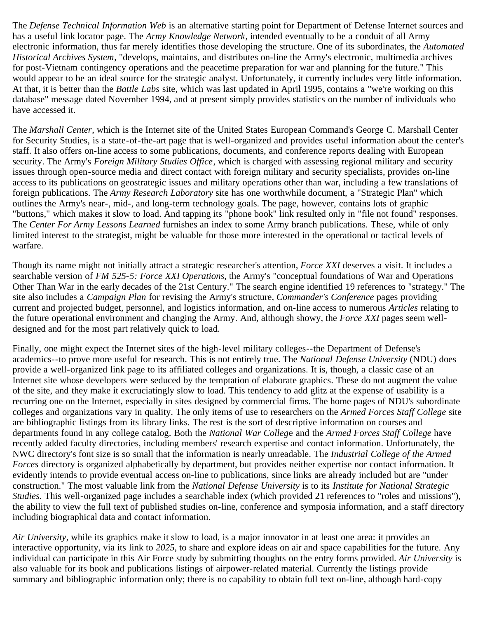The *Defense Technical Information Web* is an alternative starting point for Department of Defense Internet sources and has a useful link locator page. The *Army Knowledge Network*, intended eventually to be a conduit of all Army electronic information, thus far merely identifies those developing the structure. One of its subordinates, the *Automated Historical Archives System*, "develops, maintains, and distributes on-line the Army's electronic, multimedia archives for post-Vietnam contingency operations and the peacetime preparation for war and planning for the future." This would appear to be an ideal source for the strategic analyst. Unfortunately, it currently includes very little information. At that, it is better than the *Battle Labs* site, which was last updated in April 1995, contains a "we're working on this database" message dated November 1994, and at present simply provides statistics on the number of individuals who have accessed it.

The *Marshall Center*, which is the Internet site of the United States European Command's George C. Marshall Center for Security Studies, is a state-of-the-art page that is well-organized and provides useful information about the center's staff. It also offers on-line access to some publications, documents, and conference reports dealing with European security. The Army's *Foreign Military Studies Office*, which is charged with assessing regional military and security issues through open-source media and direct contact with foreign military and security specialists, provides on-line access to its publications on geostrategic issues and military operations other than war, including a few translations of foreign publications. The *Army Research Laboratory* site has one worthwhile document, a "Strategic Plan" which outlines the Army's near-, mid-, and long-term technology goals. The page, however, contains lots of graphic "buttons," which makes it slow to load. And tapping its "phone book" link resulted only in "file not found" responses. The *Center For Army Lessons Learned* furnishes an index to some Army branch publications. These, while of only limited interest to the strategist, might be valuable for those more interested in the operational or tactical levels of warfare.

Though its name might not initially attract a strategic researcher's attention, *Force XXI* deserves a visit. It includes a searchable version of *FM 525-5: Force XXI Operations*, the Army's "conceptual foundations of War and Operations Other Than War in the early decades of the 21st Century." The search engine identified 19 references to "strategy." The site also includes a *Campaign Plan* for revising the Army's structure, *Commander's Conference* pages providing current and projected budget, personnel, and logistics information, and on-line access to numerous *Articles* relating to the future operational environment and changing the Army. And, although showy, the *Force XXI* pages seem welldesigned and for the most part relatively quick to load.

Finally, one might expect the Internet sites of the high-level military colleges--the Department of Defense's academics--to prove more useful for research. This is not entirely true. The *National Defense University* (NDU) does provide a well-organized link page to its affiliated colleges and organizations. It is, though, a classic case of an Internet site whose developers were seduced by the temptation of elaborate graphics. These do not augment the value of the site, and they make it excruciatingly slow to load. This tendency to add glitz at the expense of usability is a recurring one on the Internet, especially in sites designed by commercial firms. The home pages of NDU's subordinate colleges and organizations vary in quality. The only items of use to researchers on the *Armed Forces Staff College* site are bibliographic listings from its library links. The rest is the sort of descriptive information on courses and departments found in any college catalog. Both the *National War Colleg*e and the *Armed Forces Staff College* have recently added faculty directories, including members' research expertise and contact information. Unfortunately, the NWC directory's font size is so small that the information is nearly unreadable. The *Industrial College of the Armed Forces* directory is organized alphabetically by department, but provides neither expertise nor contact information. It evidently intends to provide eventual access on-line to publications, since links are already included but are "under construction." The most valuable link from the *National Defense University* is to its *Institute for National Strategic Studies.* This well-organized page includes a searchable index (which provided 21 references to "roles and missions"), the ability to view the full text of published studies on-line, conference and symposia information, and a staff directory including biographical data and contact information.

*Air University*, while its graphics make it slow to load, is a major innovator in at least one area: it provides an interactive opportunity, via its link to *2025*, to share and explore ideas on air and space capabilities for the future. Any individual can participate in this Air Force study by submitting thoughts on the entry forms provided. *Air University* is also valuable for its book and publications listings of airpower-related material. Currently the listings provide summary and bibliographic information only; there is no capability to obtain full text on-line, although hard-copy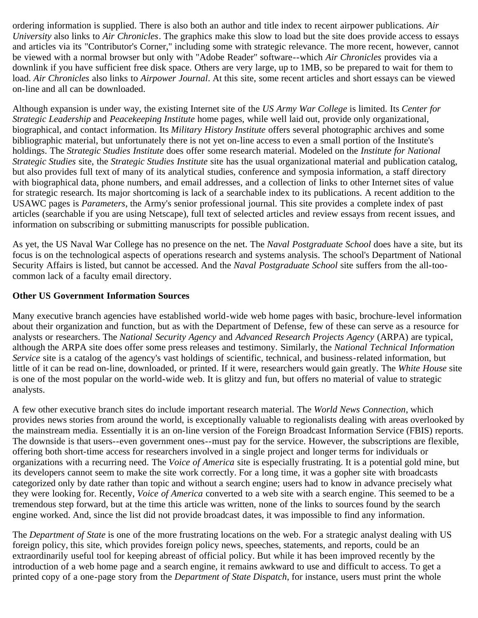ordering information is supplied. There is also both an author and title index to recent airpower publications. *Air University* also links to *Air Chronicles*. The graphics make this slow to load but the site does provide access to essays and articles via its "Contributor's Corner," including some with strategic relevance. The more recent, however, cannot be viewed with a normal browser but only with "Adobe Reader" software--which *Air Chronicles* provides via a downlink if you have sufficient free disk space. Others are very large, up to 1MB, so be prepared to wait for them to load. *Air Chronicles* also links to *Airpower Journal*. At this site, some recent articles and short essays can be viewed on-line and all can be downloaded.

Although expansion is under way, the existing Internet site of the *US Army War College* is limited. Its *Center for Strategic Leadership* and *Peacekeeping Institute* home pages, while well laid out, provide only organizational, biographical, and contact information. Its *Military History Institute* offers several photographic archives and some bibliographic material, but unfortunately there is not yet on-line access to even a small portion of the Institute's holdings. The *Strategic Studies Institute* does offer some research material. Modeled on the *Institute for National Strategic Studies* site, the *Strategic Studies Institute* site has the usual organizational material and publication catalog, but also provides full text of many of its analytical studies, conference and symposia information, a staff directory with biographical data, phone numbers, and email addresses, and a collection of links to other Internet sites of value for strategic research. Its major shortcoming is lack of a searchable index to its publications. A recent addition to the USAWC pages is *Parameters*, the Army's senior professional journal. This site provides a complete index of past articles (searchable if you are using Netscape), full text of selected articles and review essays from recent issues, and information on subscribing or submitting manuscripts for possible publication.

As yet, the US Naval War College has no presence on the net. The *Naval Postgraduate School* does have a site, but its focus is on the technological aspects of operations research and systems analysis. The school's Department of National Security Affairs is listed, but cannot be accessed. And the *Naval Postgraduate School* site suffers from the all-toocommon lack of a faculty email directory.

### **Other US Government Information Sources**

Many executive branch agencies have established world-wide web home pages with basic, brochure-level information about their organization and function, but as with the Department of Defense, few of these can serve as a resource for analysts or researchers. The *National Security Agency* and *Advanced Research Projects Agency* (ARPA) are typical, although the ARPA site does offer some press releases and testimony. Similarly, the *National Technical Information Service* site is a catalog of the agency's vast holdings of scientific, technical, and business-related information, but little of it can be read on-line, downloaded, or printed. If it were, researchers would gain greatly. The *White House* site is one of the most popular on the world-wide web. It is glitzy and fun, but offers no material of value to strategic analysts.

A few other executive branch sites do include important research material. The *World News Connection*, which provides news stories from around the world, is exceptionally valuable to regionalists dealing with areas overlooked by the mainstream media. Essentially it is an on-line version of the Foreign Broadcast Information Service (FBIS) reports. The downside is that users--even government ones--must pay for the service. However, the subscriptions are flexible, offering both short-time access for researchers involved in a single project and longer terms for individuals or organizations with a recurring need. The *Voice of America* site is especially frustrating. It is a potential gold mine, but its developers cannot seem to make the site work correctly. For a long time, it was a gopher site with broadcasts categorized only by date rather than topic and without a search engine; users had to know in advance precisely what they were looking for. Recently, *Voice of America* converted to a web site with a search engine. This seemed to be a tremendous step forward, but at the time this article was written, none of the links to sources found by the search engine worked. And, since the list did not provide broadcast dates, it was impossible to find any information.

The *Department of State* is one of the more frustrating locations on the web. For a strategic analyst dealing with US foreign policy, this site, which provides foreign policy news, speeches, statements, and reports, could be an extraordinarily useful tool for keeping abreast of official policy. But while it has been improved recently by the introduction of a web home page and a search engine, it remains awkward to use and difficult to access. To get a printed copy of a one-page story from the *Department of State Dispatch*, for instance, users must print the whole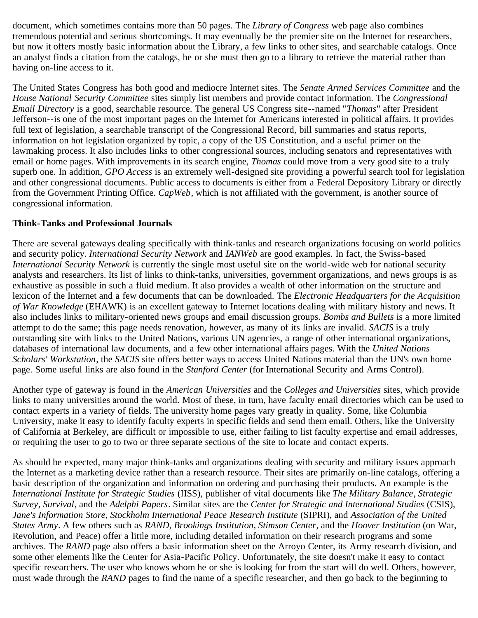document, which sometimes contains more than 50 pages. The *Library of Congress* web page also combines tremendous potential and serious shortcomings. It may eventually be the premier site on the Internet for researchers, but now it offers mostly basic information about the Library, a few links to other sites, and searchable catalogs. Once an analyst finds a citation from the catalogs, he or she must then go to a library to retrieve the material rather than having on-line access to it.

The United States Congress has both good and mediocre Internet sites. The *Senate Armed Services Committee* and the *House National Security Committee* sites simply list members and provide contact information. The *Congressional Email Directory* is a good, searchable resource. The general US Congress site--named "*Thomas*" after President Jefferson--is one of the most important pages on the Internet for Americans interested in political affairs. It provides full text of legislation, a searchable transcript of the Congressional Record, bill summaries and status reports, information on hot legislation organized by topic, a copy of the US Constitution, and a useful primer on the lawmaking process. It also includes links to other congressional sources, including senators and representatives with email or home pages. With improvements in its search engine, *Thomas* could move from a very good site to a truly superb one. In addition, *GPO Access* is an extremely well-designed site providing a powerful search tool for legislation and other congressional documents. Public access to documents is either from a Federal Depository Library or directly from the Government Printing Office. *CapWeb*, which is not affiliated with the government, is another source of congressional information.

# **Think-Tanks and Professional Journals**

There are several gateways dealing specifically with think-tanks and research organizations focusing on world politics and security policy. *International Security Network* and *IANWeb* are good examples. In fact, the Swiss-based *International Security Network* is currently the single most useful site on the world-wide web for national security analysts and researchers. Its list of links to think-tanks, universities, government organizations, and news groups is as exhaustive as possible in such a fluid medium. It also provides a wealth of other information on the structure and lexicon of the Internet and a few documents that can be downloaded. The *Electronic Headquarters for the Acquisition of War Knowledge* (EHAWK) is an excellent gateway to Internet locations dealing with military history and news. It also includes links to military-oriented news groups and email discussion groups. *Bombs and Bullets* is a more limited attempt to do the same; this page needs renovation, however, as many of its links are invalid. *SACIS* is a truly outstanding site with links to the United Nations, various UN agencies, a range of other international organizations, databases of international law documents, and a few other international affairs pages. With the *United Nations Scholars' Workstation*, the *SACIS* site offers better ways to access United Nations material than the UN's own home page. Some useful links are also found in the *Stanford Center* (for International Security and Arms Control).

Another type of gateway is found in the *American Universities* and the *Colleges and Universities* sites, which provide links to many universities around the world. Most of these, in turn, have faculty email directories which can be used to contact experts in a variety of fields. The university home pages vary greatly in quality. Some, like Columbia University, make it easy to identify faculty experts in specific fields and send them email. Others, like the University of California at Berkeley, are difficult or impossible to use, either failing to list faculty expertise and email addresses, or requiring the user to go to two or three separate sections of the site to locate and contact experts.

As should be expected, many major think-tanks and organizations dealing with security and military issues approach the Internet as a marketing device rather than a research resource. Their sites are primarily on-line catalogs, offering a basic description of the organization and information on ordering and purchasing their products. An example is the *International Institute for Strategic Studies* (IISS), publisher of vital documents like *The Military Balance*, *Strategic Survey*, *Survival*, and the *Adelphi Papers*. Similar sites are the *Center for Strategic and International Studies* (CSIS), *Jane's Information Store*, *Stockholm International Peace Research Institute* (SIPRI), and *Association of the United States Army*. A few others such as *RAND*, *Brookings Institution*, *Stimson Center*, and the *Hoover Institution* (on War, Revolution, and Peace) offer a little more, including detailed information on their research programs and some archives. The *RAND* page also offers a basic information sheet on the Arroyo Center, its Army research division, and some other elements like the Center for Asia-Pacific Policy. Unfortunately, the site doesn't make it easy to contact specific researchers. The user who knows whom he or she is looking for from the start will do well. Others, however, must wade through the *RAND* pages to find the name of a specific researcher, and then go back to the beginning to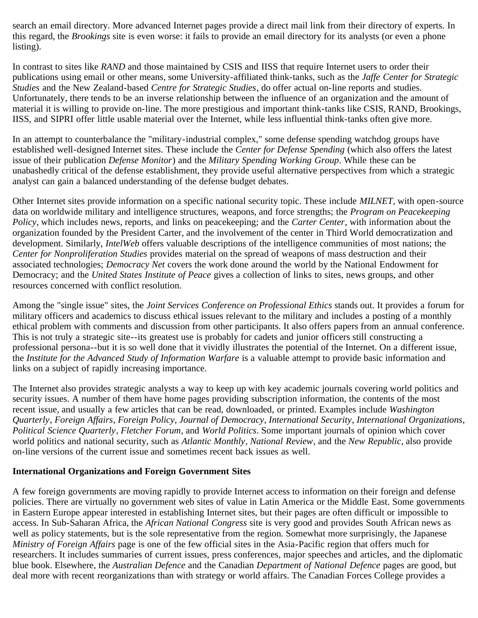search an email directory. More advanced Internet pages provide a direct mail link from their directory of experts. In this regard, the *Brookings* site is even worse: it fails to provide an email directory for its analysts (or even a phone listing).

In contrast to sites like *RAND* and those maintained by CSIS and IISS that require Internet users to order their publications using email or other means, some University-affiliated think-tanks, such as the *Jaffe Center for Strategic Studies* and the New Zealand-based *Centre for Strategic Studies*, do offer actual on-line reports and studies. Unfortunately, there tends to be an inverse relationship between the influence of an organization and the amount of material it is willing to provide on-line. The more prestigious and important think-tanks like CSIS, RAND, Brookings, IISS, and SIPRI offer little usable material over the Internet, while less influential think-tanks often give more.

In an attempt to counterbalance the "military-industrial complex," some defense spending watchdog groups have established well-designed Internet sites. These include the *Center for Defense Spending* (which also offers the latest issue of their publication *Defense Monitor*) and the *Military Spending Working Group*. While these can be unabashedly critical of the defense establishment, they provide useful alternative perspectives from which a strategic analyst can gain a balanced understanding of the defense budget debates.

Other Internet sites provide information on a specific national security topic. These include *MILNET*, with open-source data on worldwide military and intelligence structures, weapons, and force strengths; the *Program on Peacekeeping Policy*, which includes news, reports, and links on peacekeeping; and the *Carter Center*, with information about the organization founded by the President Carter, and the involvement of the center in Third World democratization and development. Similarly, *IntelWeb* offers valuable descriptions of the intelligence communities of most nations; the *Center for Nonproliferation Studies* provides material on the spread of weapons of mass destruction and their associated technologies; *Democracy Net* covers the work done around the world by the National Endowment for Democracy; and the *United States Institute of Peace* gives a collection of links to sites, news groups, and other resources concerned with conflict resolution.

Among the "single issue" sites, the *Joint Services Conference on Professional Ethics* stands out. It provides a forum for military officers and academics to discuss ethical issues relevant to the military and includes a posting of a monthly ethical problem with comments and discussion from other participants. It also offers papers from an annual conference. This is not truly a strategic site--its greatest use is probably for cadets and junior officers still constructing a professional persona--but it is so well done that it vividly illustrates the potential of the Internet. On a different issue, the *Institute for the Advanced Study of Information Warfare* is a valuable attempt to provide basic information and links on a subject of rapidly increasing importance.

The Internet also provides strategic analysts a way to keep up with key academic journals covering world politics and security issues. A number of them have home pages providing subscription information, the contents of the most recent issue, and usually a few articles that can be read, downloaded, or printed. Examples include *Washington Quarterly*, *Foreign Affairs*, *Foreign Policy*, *Journal of Democracy*, *International Security*, *International Organizations*, *Political Science Quarterly*, *Fletcher Forum*, and *World Politics*. Some important journals of opinion which cover world politics and national security, such as *Atlantic Monthly*, *National Review*, and the *New Republic*, also provide on-line versions of the current issue and sometimes recent back issues as well.

# **International Organizations and Foreign Government Sites**

A few foreign governments are moving rapidly to provide Internet access to information on their foreign and defense policies. There are virtually no government web sites of value in Latin America or the Middle East. Some governments in Eastern Europe appear interested in establishing Internet sites, but their pages are often difficult or impossible to access. In Sub-Saharan Africa, the *African National Congress* site is very good and provides South African news as well as policy statements, but is the sole representative from the region. Somewhat more surprisingly, the Japanese *Ministry of Foreign Affairs* page is one of the few official sites in the Asia-Pacific region that offers much for researchers. It includes summaries of current issues, press conferences, major speeches and articles, and the diplomatic blue book. Elsewhere, the *Australian Defence* and the Canadian *Department of National Defence* pages are good, but deal more with recent reorganizations than with strategy or world affairs. The Canadian Forces College provides a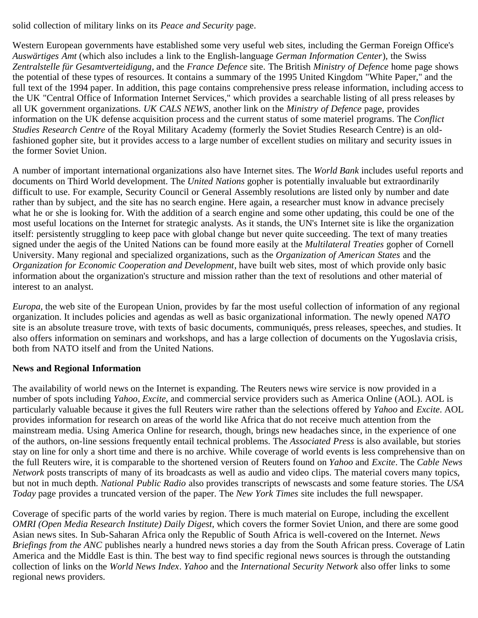solid collection of military links on its *Peace and Security* page.

Western European governments have established some very useful web sites, including the German Foreign Office's *Auswärtiges Amt* (which also includes a link to the English-language *German Information Center*), the Swiss *Zentralstelle für Gesamtverteidigung*, and the *France Defence* site. The British *Ministry of Defence* home page shows the potential of these types of resources. It contains a summary of the 1995 United Kingdom "White Paper," and the full text of the 1994 paper. In addition, this page contains comprehensive press release information, including access to the UK "Central Office of Information Internet Services," which provides a searchable listing of all press releases by all UK government organizations. *UK CALS NEWS*, another link on the *Ministry of Defence* page, provides information on the UK defense acquisition process and the current status of some materiel programs. The *Conflict Studies Research Centre* of the Royal Military Academy (formerly the Soviet Studies Research Centre) is an oldfashioned gopher site, but it provides access to a large number of excellent studies on military and security issues in the former Soviet Union.

A number of important international organizations also have Internet sites. The *World Bank* includes useful reports and documents on Third World development. The *United Nations* gopher is potentially invaluable but extraordinarily difficult to use. For example, Security Council or General Assembly resolutions are listed only by number and date rather than by subject, and the site has no search engine. Here again, a researcher must know in advance precisely what he or she is looking for. With the addition of a search engine and some other updating, this could be one of the most useful locations on the Internet for strategic analysts. As it stands, the UN's Internet site is like the organization itself: persistently struggling to keep pace with global change but never quite succeeding. The text of many treaties signed under the aegis of the United Nations can be found more easily at the *Multilateral Treaties* gopher of Cornell University. Many regional and specialized organizations, such as the *Organization of American States* and the *Organization for Economic Cooperation and Development*, have built web sites, most of which provide only basic information about the organization's structure and mission rather than the text of resolutions and other material of interest to an analyst.

*Europa*, the web site of the European Union, provides by far the most useful collection of information of any regional organization. It includes policies and agendas as well as basic organizational information. The newly opened *NATO* site is an absolute treasure trove, with texts of basic documents, communiqués, press releases, speeches, and studies. It also offers information on seminars and workshops, and has a large collection of documents on the Yugoslavia crisis, both from NATO itself and from the United Nations.

# **News and Regional Information**

The availability of world news on the Internet is expanding. The Reuters news wire service is now provided in a number of spots including *Yahoo*, *Excite*, and commercial service providers such as America Online (AOL). AOL is particularly valuable because it gives the full Reuters wire rather than the selections offered by *Yahoo* and *Excite*. AOL provides information for research on areas of the world like Africa that do not receive much attention from the mainstream media. Using America Online for research, though, brings new headaches since, in the experience of one of the authors, on-line sessions frequently entail technical problems. The *Associated Press* is also available, but stories stay on line for only a short time and there is no archive. While coverage of world events is less comprehensive than on the full Reuters wire, it is comparable to the shortened version of Reuters found on *Yahoo* and *Excite*. The *Cable News Network* posts transcripts of many of its broadcasts as well as audio and video clips. The material covers many topics, but not in much depth. *National Public Radio* also provides transcripts of newscasts and some feature stories. The *USA Today* page provides a truncated version of the paper. The *New York Times* site includes the full newspaper.

Coverage of specific parts of the world varies by region. There is much material on Europe, including the excellent *OMRI (Open Media Research Institute) Daily Digest*, which covers the former Soviet Union, and there are some good Asian news sites. In Sub-Saharan Africa only the Republic of South Africa is well-covered on the Internet. *News Briefings from the ANC* publishes nearly a hundred news stories a day from the South African press. Coverage of Latin America and the Middle East is thin. The best way to find specific regional news sources is through the outstanding collection of links on the *World News Index*. *Yahoo* and the *International Security Network* also offer links to some regional news providers.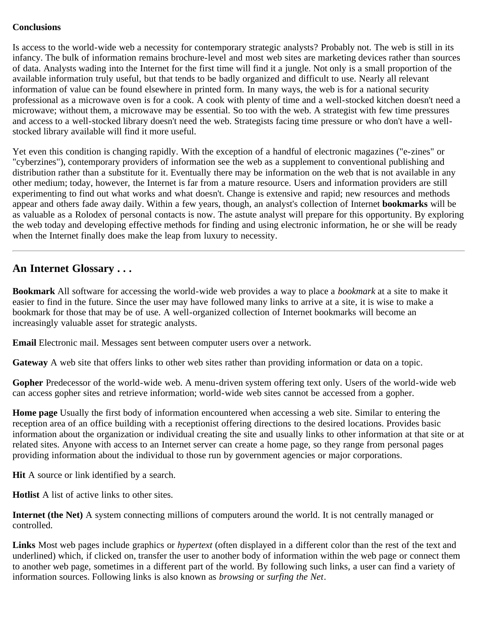### **Conclusions**

Is access to the world-wide web a necessity for contemporary strategic analysts? Probably not. The web is still in its infancy. The bulk of information remains brochure-level and most web sites are marketing devices rather than sources of data. Analysts wading into the Internet for the first time will find it a jungle. Not only is a small proportion of the available information truly useful, but that tends to be badly organized and difficult to use. Nearly all relevant information of value can be found elsewhere in printed form. In many ways, the web is for a national security professional as a microwave oven is for a cook. A cook with plenty of time and a well-stocked kitchen doesn't need a microwave; without them, a microwave may be essential. So too with the web. A strategist with few time pressures and access to a well-stocked library doesn't need the web. Strategists facing time pressure or who don't have a wellstocked library available will find it more useful.

Yet even this condition is changing rapidly. With the exception of a handful of electronic magazines ("e-zines" or "cyberzines"), contemporary providers of information see the web as a supplement to conventional publishing and distribution rather than a substitute for it. Eventually there may be information on the web that is not available in any other medium; today, however, the Internet is far from a mature resource. Users and information providers are still experimenting to find out what works and what doesn't. Change is extensive and rapid; new resources and methods appear and others fade away daily. Within a few years, though, an analyst's collection of Internet **bookmarks** will be as valuable as a Rolodex of personal contacts is now. The astute analyst will prepare for this opportunity. By exploring the web today and developing effective methods for finding and using electronic information, he or she will be ready when the Internet finally does make the leap from luxury to necessity.

# <span id="page-9-0"></span>**An Internet Glossary . . .**

**Bookmark** All software for accessing the world-wide web provides a way to place a *bookmark* at a site to make it easier to find in the future. Since the user may have followed many links to arrive at a site, it is wise to make a bookmark for those that may be of use. A well-organized collection of Internet bookmarks will become an increasingly valuable asset for strategic analysts.

**Email** Electronic mail. Messages sent between computer users over a network.

**Gateway** A web site that offers links to other web sites rather than providing information or data on a topic.

**Gopher** Predecessor of the world-wide web. A menu-driven system offering text only. Users of the world-wide web can access gopher sites and retrieve information; world-wide web sites cannot be accessed from a gopher.

**Home page** Usually the first body of information encountered when accessing a web site. Similar to entering the reception area of an office building with a receptionist offering directions to the desired locations. Provides basic information about the organization or individual creating the site and usually links to other information at that site or at related sites. Anyone with access to an Internet server can create a home page, so they range from personal pages providing information about the individual to those run by government agencies or major corporations.

**Hit** A source or link identified by a search.

**Hotlist** A list of active links to other sites.

**Internet (the Net)** A system connecting millions of computers around the world. It is not centrally managed or controlled.

**Links** Most web pages include graphics or *hypertext* (often displayed in a different color than the rest of the text and underlined) which, if clicked on, transfer the user to another body of information within the web page or connect them to another web page, sometimes in a different part of the world. By following such links, a user can find a variety of information sources. Following links is also known as *browsing* or *surfing the Net*.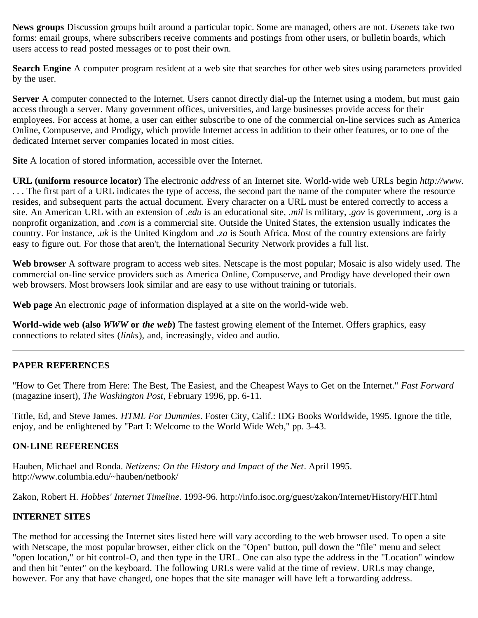**News groups** Discussion groups built around a particular topic. Some are managed, others are not. *Usenets* take two forms: email groups, where subscribers receive comments and postings from other users, or bulletin boards, which users access to read posted messages or to post their own.

**Search Engine** A computer program resident at a web site that searches for other web sites using parameters provided by the user.

**Server** A computer connected to the Internet. Users cannot directly dial-up the Internet using a modem, but must gain access through a server. Many government offices, universities, and large businesses provide access for their employees. For access at home, a user can either subscribe to one of the commercial on-line services such as America Online, Compuserve, and Prodigy, which provide Internet access in addition to their other features, or to one of the dedicated Internet server companies located in most cities.

**Site** A location of stored information, accessible over the Internet.

**URL (uniform resource locator)** The electronic *address* of an Internet site. World-wide web URLs begin *http://www. . . .* The first part of a URL indicates the type of access, the second part the name of the computer where the resource resides, and subsequent parts the actual document. Every character on a URL must be entered correctly to access a site. An American URL with an extension of *.edu* is an educational site, *.mil* is military, *.gov* is government, *.org* is a nonprofit organization, and *.com* is a commercial site. Outside the United States, the extension usually indicates the country. For instance, *.uk* is the United Kingdom and *.za* is South Africa. Most of the country extensions are fairly easy to figure out. For those that aren't, the International Security Network provides a full list.

**Web browser** A software program to access web sites. Netscape is the most popular; Mosaic is also widely used. The commercial on-line service providers such as America Online, Compuserve, and Prodigy have developed their own web browsers. Most browsers look similar and are easy to use without training or tutorials.

**Web page** An electronic *page* of information displayed at a site on the world-wide web.

**World-wide web (also** *WWW* **or** *the web***)** The fastest growing element of the Internet. Offers graphics, easy connections to related sites (*links*), and, increasingly, video and audio.

# **PAPER REFERENCES**

"How to Get There from Here: The Best, The Easiest, and the Cheapest Ways to Get on the Internet." *Fast Forward* (magazine insert), *The Washington Post*, February 1996, pp. 6-11.

Tittle, Ed, and Steve James. *HTML For Dummies*. Foster City, Calif.: IDG Books Worldwide, 1995. Ignore the title, enjoy, and be enlightened by "Part I: Welcome to the World Wide Web," pp. 3-43.

# **ON-LINE REFERENCES**

Hauben, Michael and Ronda. *Netizens: On the History and Impact of the Net*. April 1995. http://www.columbia.edu/~hauben/netbook/

Zakon, Robert H. *Hobbes' Internet Timeline*. 1993-96. http://info.isoc.org/guest/zakon/Internet/History/HIT.html

# <span id="page-10-0"></span>**INTERNET SITES**

The method for accessing the Internet sites listed here will vary according to the web browser used. To open a site with Netscape, the most popular browser, either click on the "Open" button, pull down the "file" menu and select "open location," or hit control-O, and then type in the URL. One can also type the address in the "Location" window and then hit "enter" on the keyboard. The following URLs were valid at the time of review. URLs may change, however. For any that have changed, one hopes that the site manager will have left a forwarding address.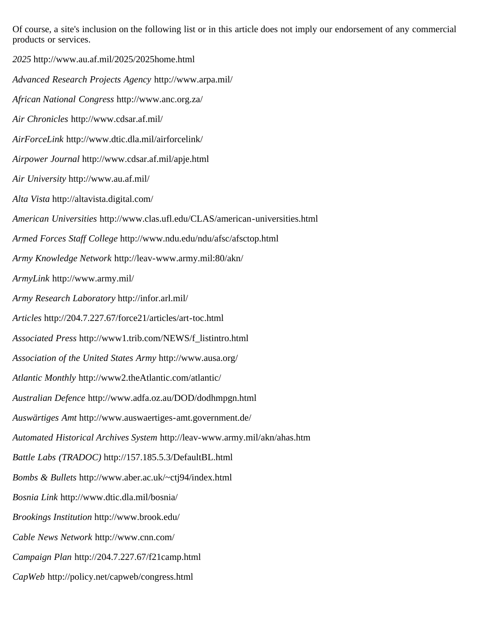Of course, a site's inclusion on the following list or in this article does not imply our endorsement of any commercial products or services.

*2025* http://www.au.af.mil/2025/2025home.html *Advanced Research Projects Agency* http://www.arpa.mil/ *African National Congress* http://www.anc.org.za/ *Air Chronicles* http://www.cdsar.af.mil/ *AirForceLink* http://www.dtic.dla.mil/airforcelink/ *Airpower Journal* http://www.cdsar.af.mil/apje.html *Air University* http://www.au.af.mil/ *Alta Vista* http://altavista.digital.com/ *American Universities* http://www.clas.ufl.edu/CLAS/american-universities.html *Armed Forces Staff College* http://www.ndu.edu/ndu/afsc/afsctop.html *Army Knowledge Network* http://leav-www.army.mil:80/akn/ *ArmyLink* http://www.army.mil/ *Army Research Laboratory* http://infor.arl.mil/ *Articles* http://204.7.227.67/force21/articles/art-toc.html *Associated Press* http://www1.trib.com/NEWS/f\_listintro.html *Association of the United States Army* http://www.ausa.org/ *Atlantic Monthly* http://www2.theAtlantic.com/atlantic/ *Australian Defence* http://www.adfa.oz.au/DOD/dodhmpgn.html *Auswärtiges Amt* http://www.auswaertiges-amt.government.de/ *Automated Historical Archives System* http://leav-www.army.mil/akn/ahas.htm *Battle Labs (TRADOC)* http://157.185.5.3/DefaultBL.html *Bombs & Bullets* http://www.aber.ac.uk/~ctj94/index.html *Bosnia Link* http://www.dtic.dla.mil/bosnia/ *Brookings Institution* http://www.brook.edu/ *Cable News Network* http://www.cnn.com/ *Campaign Plan* http://204.7.227.67/f21camp.html *CapWeb* http://policy.net/capweb/congress.html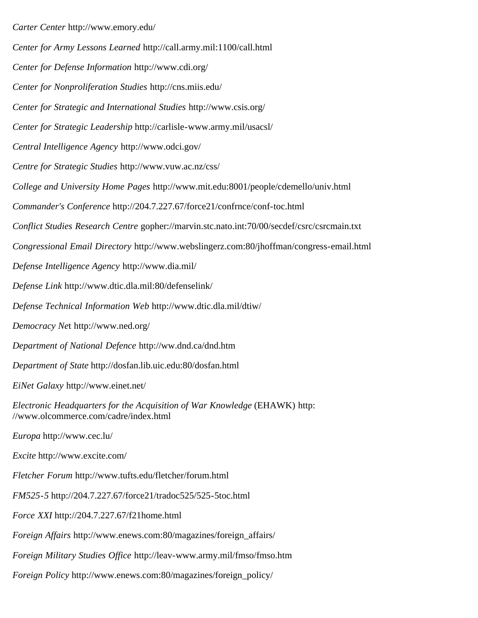*Carter Center* http://www.emory.edu/ *Center for Army Lessons Learned* http://call.army.mil:1100/call.html *Center for Defense Information* http://www.cdi.org/ *Center for Nonproliferation Studies* http://cns.miis.edu/ *Center for Strategic and International Studies* http://www.csis.org/ *Center for Strategic Leadership* http://carlisle-www.army.mil/usacsl/ *Central Intelligence Agency* http://www.odci.gov/ *Centre for Strategic Studies* http://www.vuw.ac.nz/css/ *College and University Home Pages* http://www.mit.edu:8001/people/cdemello/univ.html *Commander's Conference* http://204.7.227.67/force21/confrnce/conf-toc.html *Conflict Studies Research Centre* gopher://marvin.stc.nato.int:70/00/secdef/csrc/csrcmain.txt *Congressional Email Directory* http://www.webslingerz.com:80/jhoffman/congress-email.html *Defense Intelligence Agency* http://www.dia.mil/ *Defense Link* http://www.dtic.dla.mil:80/defenselink/ *Defense Technical Information Web* http://www.dtic.dla.mil/dtiw/ *Democracy Ne*t http://www.ned.org/ *Department of National Defence* http://ww.dnd.ca/dnd.htm *Department of State* http://dosfan.lib.uic.edu:80/dosfan.html *EiNet Galaxy* http://www.einet.net/ *Electronic Headquarters for the Acquisition of War Knowledge* (EHAWK) http: //www.olcommerce.com/cadre/index.html *Europa* http://www.cec.lu/ *Excite* http://www.excite.com/ *Fletcher Forum* http://www.tufts.edu/fletcher/forum.html *FM525-5* http://204.7.227.67/force21/tradoc525/525-5toc.html *Force XXI* http://204.7.227.67/f21home.html *Foreign Affairs* http://www.enews.com:80/magazines/foreign\_affairs/ *Foreign Military Studies Office* http://leav-www.army.mil/fmso/fmso.htm

*Foreign Policy* http://www.enews.com:80/magazines/foreign\_policy/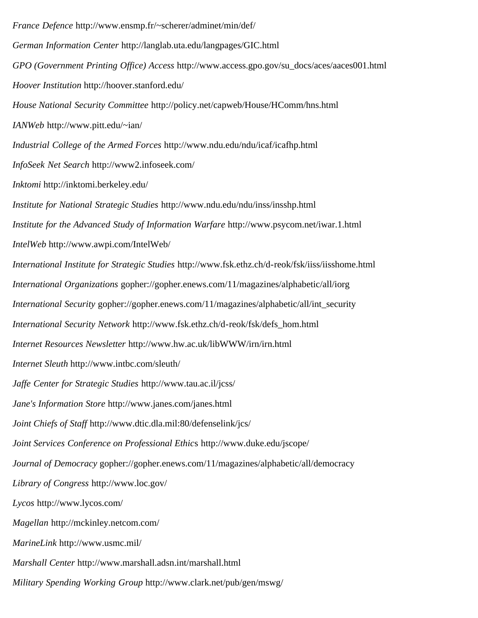*France Defence* http://www.ensmp.fr/~scherer/adminet/min/def/ *German Information Center* http://langlab.uta.edu/langpages/GIC.html *GPO (Government Printing Office) Access* http://www.access.gpo.gov/su\_docs/aces/aaces001.html *Hoover Institution* http://hoover.stanford.edu/ *House National Security Committee* http://policy.net/capweb/House/HComm/hns.html *IANWeb* http://www.pitt.edu/~ian/ *Industrial College of the Armed Forces* http://www.ndu.edu/ndu/icaf/icafhp.html *InfoSeek Net Search* http://www2.infoseek.com/ *Inktomi* http://inktomi.berkeley.edu/ *Institute for National Strategic Studies* http://www.ndu.edu/ndu/inss/insshp.html *Institute for the Advanced Study of Information Warfare* http://www.psycom.net/iwar.1.html *IntelWeb* http://www.awpi.com/IntelWeb/ *International Institute for Strategic Studies* http://www.fsk.ethz.ch/d-reok/fsk/iiss/iisshome.html *International Organizations* gopher://gopher.enews.com/11/magazines/alphabetic/all/iorg *International Security* gopher://gopher.enews.com/11/magazines/alphabetic/all/int\_security *International Security Network* http://www.fsk.ethz.ch/d-reok/fsk/defs\_hom.html *Internet Resources Newsletter* http://www.hw.ac.uk/libWWW/irn/irn.html *Internet Sleuth* http://www.intbc.com/sleuth/ *Jaffe Center for Strategic Studies* http://www.tau.ac.il/jcss/ *Jane's Information Store* http://www.janes.com/janes.html *Joint Chiefs of Staff* http://www.dtic.dla.mil:80/defenselink/jcs/ *Joint Services Conference on Professional Ethic*s http://www.duke.edu/jscope/ *Journal of Democracy gopher://gopher.enews.com/11/magazines/alphabetic/all/democracy Library of Congress* http://www.loc.gov/ *Lycos* http://www.lycos.com/ *Magellan* http://mckinley.netcom.com/ *MarineLink* http://www.usmc.mil/ *Marshall Center* http://www.marshall.adsn.int/marshall.html *Military Spending Working Group* http://www.clark.net/pub/gen/mswg/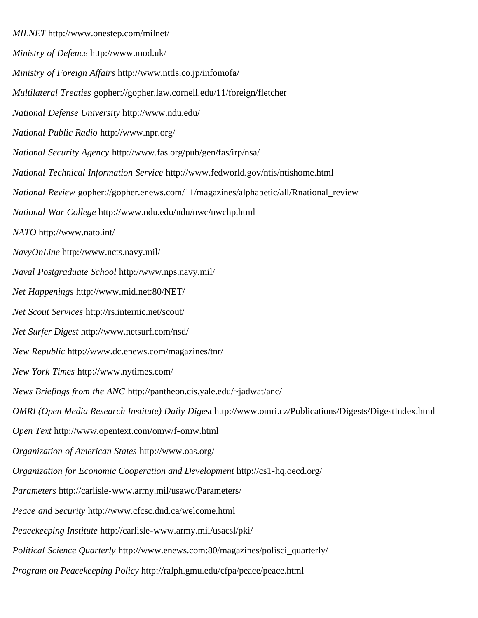*MILNET* http://www.onestep.com/milnet/ *Ministry of Defence* http://www.mod.uk/ *Ministry of Foreign Affairs* http://www.nttls.co.jp/infomofa/ *Multilateral Treaties* gopher://gopher.law.cornell.edu/11/foreign/fletcher *National Defense University* http://www.ndu.edu/ *National Public Radio* http://www.npr.org/ *National Security Agency* http://www.fas.org/pub/gen/fas/irp/nsa/ *National Technical Information Service* http://www.fedworld.gov/ntis/ntishome.html *National Review* gopher://gopher.enews.com/11/magazines/alphabetic/all/Rnational\_review *National War College* http://www.ndu.edu/ndu/nwc/nwchp.html *NATO* http://www.nato.int/ *NavyOnLine* http://www.ncts.navy.mil/ *Naval Postgraduate School* http://www.nps.navy.mil/ *Net Happenings* http://www.mid.net:80/NET/ *Net Scout Services* http://rs.internic.net/scout/ *Net Surfer Digest* http://www.netsurf.com/nsd/ *New Republic* http://www.dc.enews.com/magazines/tnr/ *New York Times* http://www.nytimes.com/ *News Briefings from the ANC* http://pantheon.cis.yale.edu/~jadwat/anc/ *OMRI (Open Media Research Institute) Daily Digest* http://www.omri.cz/Publications/Digests/DigestIndex.html *Open Text* http://www.opentext.com/omw/f-omw.html *Organization of American States* http://www.oas.org/ *Organization for Economic Cooperation and Development* http://cs1-hq.oecd.org/ *Parameters* http://carlisle-www.army.mil/usawc/Parameters/ *Peace and Security* http://www.cfcsc.dnd.ca/welcome.html *Peacekeeping Institute* http://carlisle-www.army.mil/usacsl/pki/ *Political Science Quarterly* http://www.enews.com:80/magazines/polisci\_quarterly/ *Program on Peacekeeping Policy* http://ralph.gmu.edu/cfpa/peace/peace.html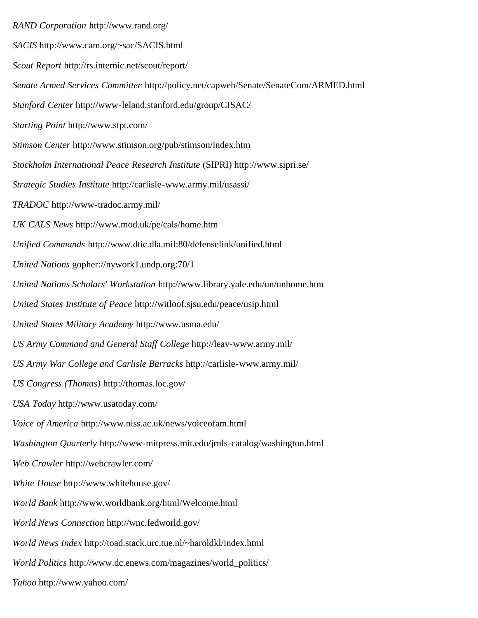*RAND Corporation* http://www.rand.org/ *SACIS* http://www.cam.org/~sac/SACIS.html *Scout Report* http://rs.internic.net/scout/report/ *Senate Armed Services Committee* http://policy.net/capweb/Senate/SenateCom/ARMED.html *Stanford Center* http://www-leland.stanford.edu/group/CISAC/ *Starting Point* http://www.stpt.com/ *Stimson Center* http://www.stimson.org/pub/stimson/index.htm *Stockholm International Peace Research Institute* (SIPRI) http://www.sipri.se/ *Strategic Studies Institute* http://carlisle-www.army.mil/usassi/ *TRADOC* http://www-tradoc.army.mil/ *UK CALS News* http://www.mod.uk/pe/cals/home.htm *Unified Commands* http://www.dtic.dla.mil:80/defenselink/unified.html *United Nations* gopher://nywork1.undp.org:70/1 *United Nations Scholars' Workstation* http://www.library.yale.edu/un/unhome.htm *United States Institute of Peace* http://witloof.sjsu.edu/peace/usip.html *United States Military Academy* http://www.usma.edu/ *US Army Command and General Staff College* http://leav-www.army.mil/ *US Army War College and Carlisle Barracks* http://carlisle-www.army.mil/ *US Congress (Thomas)* http://thomas.loc.gov/ *USA Today* http://www.usatoday.com/ *Voice of America* http://www.niss.ac.uk/news/voiceofam.html *Washington Quarterly* http://www-mitpress.mit.edu/jrnls-catalog/washington.html *Web Crawler* http://webcrawler.com/ *White House* http://www.whitehouse.gov/ *World Bank* http://www.worldbank.org/html/Welcome.html *World News Connection* http://wnc.fedworld.gov/ *World News Index* http://toad.stack.urc.tue.nl/~haroldkl/index.html *World Politics* http://www.dc.enews.com/magazines/world\_politics/ *Yahoo* http://www.yahoo.com/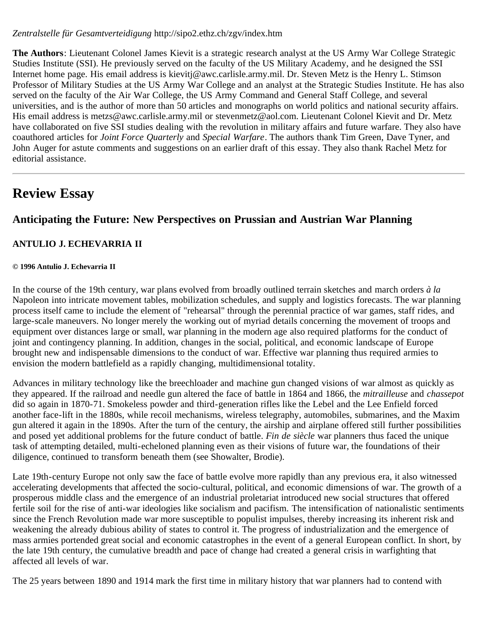*Zentralstelle für Gesamtverteidigung* http://sipo2.ethz.ch/zgv/index.htm

**The Authors**: Lieutenant Colonel James Kievit is a strategic research analyst at the US Army War College Strategic Studies Institute (SSI). He previously served on the faculty of the US Military Academy, and he designed the SSI Internet home page. His email address is kievitj@awc.carlisle.army.mil. Dr. Steven Metz is the Henry L. Stimson Professor of Military Studies at the US Army War College and an analyst at the Strategic Studies Institute. He has also served on the faculty of the Air War College, the US Army Command and General Staff College, and several universities, and is the author of more than 50 articles and monographs on world politics and national security affairs. His email address is metzs@awc.carlisle.army.mil or stevenmetz@aol.com. Lieutenant Colonel Kievit and Dr. Metz have collaborated on five SSI studies dealing with the revolution in military affairs and future warfare. They also have coauthored articles for *Joint Force Quarterly* and *Special Warfare*. The authors thank Tim Green, Dave Tyner, and John Auger for astute comments and suggestions on an earlier draft of this essay. They also thank Rachel Metz for editorial assistance.

# <span id="page-16-0"></span>**Review Essay**

# **Anticipating the Future: New Perspectives on Prussian and Austrian War Planning**

# **ANTULIO J. ECHEVARRIA II**

### **© 1996 Antulio J. Echevarria II**

In the course of the 19th century, war plans evolved from broadly outlined terrain sketches and march orders *à la* Napoleon into intricate movement tables, mobilization schedules, and supply and logistics forecasts. The war planning process itself came to include the element of "rehearsal" through the perennial practice of war games, staff rides, and large-scale maneuvers. No longer merely the working out of myriad details concerning the movement of troops and equipment over distances large or small, war planning in the modern age also required platforms for the conduct of joint and contingency planning. In addition, changes in the social, political, and economic landscape of Europe brought new and indispensable dimensions to the conduct of war. Effective war planning thus required armies to envision the modern battlefield as a rapidly changing, multidimensional totality.

Advances in military technology like the breechloader and machine gun changed visions of war almost as quickly as they appeared. If the railroad and needle gun altered the face of battle in 1864 and 1866, the *mitrailleuse* and *chassepot* did so again in 1870-71. Smokeless powder and third-generation rifles like the Lebel and the Lee Enfield forced another face-lift in the 1880s, while recoil mechanisms, wireless telegraphy, automobiles, submarines, and the Maxim gun altered it again in the 1890s. After the turn of the century, the airship and airplane offered still further possibilities and posed yet additional problems for the future conduct of battle. *Fin de siècle* war planners thus faced the unique task of attempting detailed, multi-echeloned planning even as their visions of future war, the foundations of their diligence, continued to transform beneath them (see Showalter, Brodie).

Late 19th-century Europe not only saw the face of battle evolve more rapidly than any previous era, it also witnessed accelerating developments that affected the socio-cultural, political, and economic dimensions of war. The growth of a prosperous middle class and the emergence of an industrial proletariat introduced new social structures that offered fertile soil for the rise of anti-war ideologies like socialism and pacifism. The intensification of nationalistic sentiments since the French Revolution made war more susceptible to populist impulses, thereby increasing its inherent risk and weakening the already dubious ability of states to control it. The progress of industrialization and the emergence of mass armies portended great social and economic catastrophes in the event of a general European conflict. In short, by the late 19th century, the cumulative breadth and pace of change had created a general crisis in warfighting that affected all levels of war.

The 25 years between 1890 and 1914 mark the first time in military history that war planners had to contend with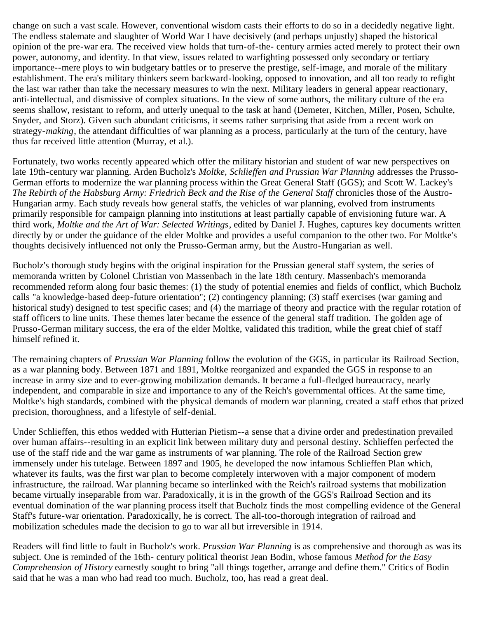change on such a vast scale. However, conventional wisdom casts their efforts to do so in a decidedly negative light. The endless stalemate and slaughter of World War I have decisively (and perhaps unjustly) shaped the historical opinion of the pre-war era. The received view holds that turn-of-the- century armies acted merely to protect their own power, autonomy, and identity. In that view, issues related to warfighting possessed only secondary or tertiary importance--mere ploys to win budgetary battles or to preserve the prestige, self-image, and morale of the military establishment. The era's military thinkers seem backward-looking, opposed to innovation, and all too ready to refight the last war rather than take the necessary measures to win the next. Military leaders in general appear reactionary, anti-intellectual, and dismissive of complex situations. In the view of some authors, the military culture of the era seems shallow, resistant to reform, and utterly unequal to the task at hand (Demeter, Kitchen, Miller, Posen, Schulte, Snyder, and Storz). Given such abundant criticisms, it seems rather surprising that aside from a recent work on strategy-*making*, the attendant difficulties of war planning as a process, particularly at the turn of the century, have thus far received little attention (Murray, et al.).

Fortunately, two works recently appeared which offer the military historian and student of war new perspectives on late 19th-century war planning. Arden Bucholz's *Moltke, Schlieffen and Prussian War Planning* addresses the Prusso-German efforts to modernize the war planning process within the Great General Staff (GGS); and Scott W. Lackey's *The Rebirth of the Habsburg Army: Friedrich Beck and the Rise of the General Staff* chronicles those of the Austro-Hungarian army. Each study reveals how general staffs, the vehicles of war planning, evolved from instruments primarily responsible for campaign planning into institutions at least partially capable of envisioning future war. A third work, *Moltke and the Art of War: Selected Writings*, edited by Daniel J. Hughes, captures key documents written directly by or under the guidance of the elder Moltke and provides a useful companion to the other two. For Moltke's thoughts decisively influenced not only the Prusso-German army, but the Austro-Hungarian as well.

Bucholz's thorough study begins with the original inspiration for the Prussian general staff system, the series of memoranda written by Colonel Christian von Massenbach in the late 18th century. Massenbach's memoranda recommended reform along four basic themes: (1) the study of potential enemies and fields of conflict, which Bucholz calls "a knowledge-based deep-future orientation"; (2) contingency planning; (3) staff exercises (war gaming and historical study) designed to test specific cases; and (4) the marriage of theory and practice with the regular rotation of staff officers to line units. These themes later became the essence of the general staff tradition. The golden age of Prusso-German military success, the era of the elder Moltke, validated this tradition, while the great chief of staff himself refined it.

The remaining chapters of *Prussian War Planning* follow the evolution of the GGS, in particular its Railroad Section, as a war planning body. Between 1871 and 1891, Moltke reorganized and expanded the GGS in response to an increase in army size and to ever-growing mobilization demands. It became a full-fledged bureaucracy, nearly independent, and comparable in size and importance to any of the Reich's governmental offices. At the same time, Moltke's high standards, combined with the physical demands of modern war planning, created a staff ethos that prized precision, thoroughness, and a lifestyle of self-denial.

Under Schlieffen, this ethos wedded with Hutterian Pietism--a sense that a divine order and predestination prevailed over human affairs--resulting in an explicit link between military duty and personal destiny. Schlieffen perfected the use of the staff ride and the war game as instruments of war planning. The role of the Railroad Section grew immensely under his tutelage. Between 1897 and 1905, he developed the now infamous Schlieffen Plan which, whatever its faults, was the first war plan to become completely interwoven with a major component of modern infrastructure, the railroad. War planning became so interlinked with the Reich's railroad systems that mobilization became virtually inseparable from war. Paradoxically, it is in the growth of the GGS's Railroad Section and its eventual domination of the war planning process itself that Bucholz finds the most compelling evidence of the General Staff's future-war orientation. Paradoxically, he is correct. The all-too-thorough integration of railroad and mobilization schedules made the decision to go to war all but irreversible in 1914.

Readers will find little to fault in Bucholz's work. *Prussian War Planning* is as comprehensive and thorough as was its subject. One is reminded of the 16th- century political theorist Jean Bodin, whose famous *Method for the Easy Comprehension of History* earnestly sought to bring "all things together, arrange and define them." Critics of Bodin said that he was a man who had read too much. Bucholz, too, has read a great deal.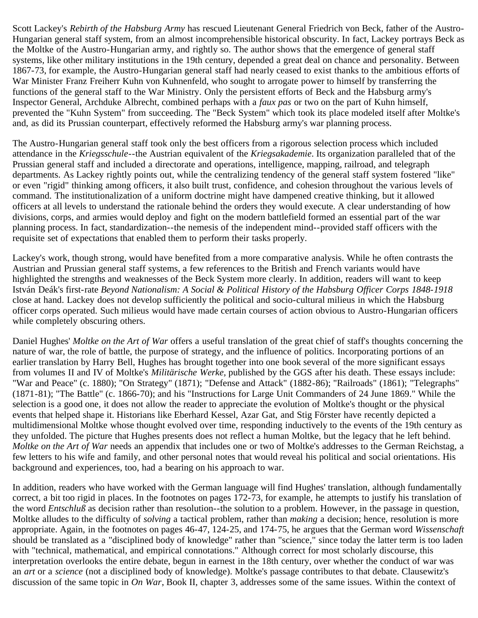Scott Lackey's *Rebirth of the Habsburg Army* has rescued Lieutenant General Friedrich von Beck, father of the Austro-Hungarian general staff system, from an almost incomprehensible historical obscurity. In fact, Lackey portrays Beck as the Moltke of the Austro-Hungarian army, and rightly so. The author shows that the emergence of general staff systems, like other military institutions in the 19th century, depended a great deal on chance and personality. Between 1867-73, for example, the Austro-Hungarian general staff had nearly ceased to exist thanks to the ambitious efforts of War Minister Franz Freiherr Kuhn von Kuhnenfeld, who sought to arrogate power to himself by transferring the functions of the general staff to the War Ministry. Only the persistent efforts of Beck and the Habsburg army's Inspector General, Archduke Albrecht, combined perhaps with a *faux pas* or two on the part of Kuhn himself, prevented the "Kuhn System" from succeeding. The "Beck System" which took its place modeled itself after Moltke's and, as did its Prussian counterpart, effectively reformed the Habsburg army's war planning process.

The Austro-Hungarian general staff took only the best officers from a rigorous selection process which included attendance in the *Kriegsschule*--the Austrian equivalent of the *Kriegsakademie*. Its organization paralleled that of the Prussian general staff and included a directorate and operations, intelligence, mapping, railroad, and telegraph departments. As Lackey rightly points out, while the centralizing tendency of the general staff system fostered "like" or even "rigid" thinking among officers, it also built trust, confidence, and cohesion throughout the various levels of command. The institutionalization of a uniform doctrine might have dampened creative thinking, but it allowed officers at all levels to understand the rationale behind the orders they would execute. A clear understanding of how divisions, corps, and armies would deploy and fight on the modern battlefield formed an essential part of the war planning process. In fact, standardization--the nemesis of the independent mind--provided staff officers with the requisite set of expectations that enabled them to perform their tasks properly.

Lackey's work, though strong, would have benefited from a more comparative analysis. While he often contrasts the Austrian and Prussian general staff systems, a few references to the British and French variants would have highlighted the strengths and weaknesses of the Beck System more clearly. In addition, readers will want to keep István Deák's first-rate *Beyond Nationalism: A Social & Political History of the Habsburg Officer Corps 1848-1918* close at hand. Lackey does not develop sufficiently the political and socio-cultural milieus in which the Habsburg officer corps operated. Such milieus would have made certain courses of action obvious to Austro-Hungarian officers while completely obscuring others.

Daniel Hughes' *Moltke on the Art of War* offers a useful translation of the great chief of staff's thoughts concerning the nature of war, the role of battle, the purpose of strategy, and the influence of politics. Incorporating portions of an earlier translation by Harry Bell, Hughes has brought together into one book several of the more significant essays from volumes II and IV of Moltke's *Militärische Werke,* published by the GGS after his death. These essays include: "War and Peace" (c. 1880); "On Strategy" (1871); "Defense and Attack" (1882-86); "Railroads" (1861); "Telegraphs" (1871-81); "The Battle" (c. 1866-70); and his "Instructions for Large Unit Commanders of 24 June 1869." While the selection is a good one, it does not allow the reader to appreciate the evolution of Moltke's thought or the physical events that helped shape it. Historians like Eberhard Kessel, Azar Gat, and Stig Förster have recently depicted a multidimensional Moltke whose thought evolved over time, responding inductively to the events of the 19th century as they unfolded. The picture that Hughes presents does not reflect a human Moltke, but the legacy that he left behind. *Moltke on the Art of War* needs an appendix that includes one or two of Moltke's addresses to the German Reichstag, a few letters to his wife and family, and other personal notes that would reveal his political and social orientations. His background and experiences, too, had a bearing on his approach to war.

In addition, readers who have worked with the German language will find Hughes' translation, although fundamentally correct, a bit too rigid in places. In the footnotes on pages 172-73, for example, he attempts to justify his translation of the word *Entschluß* as decision rather than resolution--the solution to a problem. However, in the passage in question, Moltke alludes to the difficulty of *solving* a tactical problem, rather than *making* a decision; hence, resolution is more appropriate. Again, in the footnotes on pages 46-47, 124-25, and 174-75, he argues that the German word *Wissenschaft* should be translated as a "disciplined body of knowledge" rather than "science," since today the latter term is too laden with "technical, mathematical, and empirical connotations." Although correct for most scholarly discourse, this interpretation overlooks the entire debate, begun in earnest in the 18th century, over whether the conduct of war was an *art* or a *science* (not a disciplined body of knowledge). Moltke's passage contributes to that debate. Clausewitz's discussion of the same topic in *On War*, Book II, chapter 3, addresses some of the same issues. Within the context of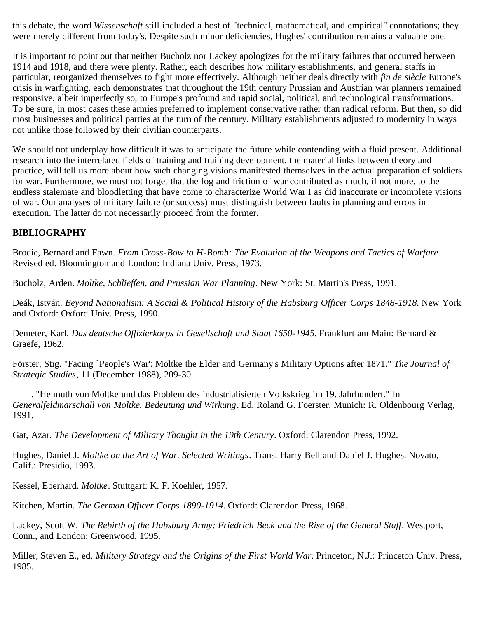this debate, the word *Wissenschaft* still included a host of "technical, mathematical, and empirical" connotations; they were merely different from today's. Despite such minor deficiencies, Hughes' contribution remains a valuable one.

It is important to point out that neither Bucholz nor Lackey apologizes for the military failures that occurred between 1914 and 1918, and there were plenty. Rather, each describes how military establishments, and general staffs in particular, reorganized themselves to fight more effectively. Although neither deals directly with *fin de siècle* Europe's crisis in warfighting, each demonstrates that throughout the 19th century Prussian and Austrian war planners remained responsive, albeit imperfectly so, to Europe's profound and rapid social, political, and technological transformations. To be sure, in most cases these armies preferred to implement conservative rather than radical reform. But then, so did most businesses and political parties at the turn of the century. Military establishments adjusted to modernity in ways not unlike those followed by their civilian counterparts.

We should not underplay how difficult it was to anticipate the future while contending with a fluid present. Additional research into the interrelated fields of training and training development, the material links between theory and practice, will tell us more about how such changing visions manifested themselves in the actual preparation of soldiers for war. Furthermore, we must not forget that the fog and friction of war contributed as much, if not more, to the endless stalemate and bloodletting that have come to characterize World War I as did inaccurate or incomplete visions of war. Our analyses of military failure (or success) must distinguish between faults in planning and errors in execution. The latter do not necessarily proceed from the former.

# **BIBLIOGRAPHY**

Brodie, Bernard and Fawn. *From Cross-Bow to H-Bomb: The Evolution of the Weapons and Tactics of Warfare.* Revised ed. Bloomington and London: Indiana Univ. Press, 1973.

Bucholz, Arden. *Moltke, Schlieffen, and Prussian War Planning*. New York: St. Martin's Press, 1991.

Deák, István. *Beyond Nationalism: A Social & Political History of the Habsburg Officer Corps 1848-1918.* New York and Oxford: Oxford Univ. Press, 1990.

Demeter, Karl. *Das deutsche Offizierkorps in Gesellschaft und Staat 1650-1945*. Frankfurt am Main: Bernard & Graefe, 1962.

Förster, Stig. "Facing `People's War': Moltke the Elder and Germany's Military Options after 1871." *The Journal of Strategic Studies*, 11 (December 1988), 209-30.

\_\_\_\_. "Helmuth von Moltke und das Problem des industrialisierten Volkskrieg im 19. Jahrhundert." In *Generalfeldmarschall von Moltke. Bedeutung und Wirkung*. Ed. Roland G. Foerster. Munich: R. Oldenbourg Verlag, 1991.

Gat, Azar. *The Development of Military Thought in the 19th Century*. Oxford: Clarendon Press, 1992.

Hughes, Daniel J. *Moltke on the Art of War. Selected Writings*. Trans. Harry Bell and Daniel J. Hughes. Novato, Calif.: Presidio, 1993.

Kessel, Eberhard. *Moltke*. Stuttgart: K. F. Koehler, 1957.

Kitchen, Martin. *The German Officer Corps 1890-1914*. Oxford: Clarendon Press, 1968.

Lackey, Scott W. *The Rebirth of the Habsburg Army: Friedrich Beck and the Rise of the General Staff*. Westport, Conn., and London: Greenwood, 1995.

Miller, Steven E., ed. *Military Strategy and the Origins of the First World War*. Princeton, N.J.: Princeton Univ. Press, 1985.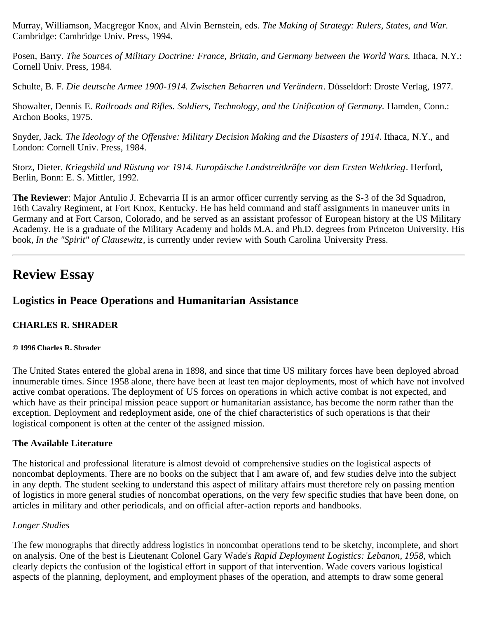Murray, Williamson, Macgregor Knox, and Alvin Bernstein, eds. *The Making of Strategy: Rulers, States, and War.* Cambridge: Cambridge Univ. Press, 1994.

Posen, Barry. *The Sources of Military Doctrine: France, Britain, and Germany between the World Wars.* Ithaca, N.Y.: Cornell Univ. Press, 1984.

Schulte, B. F. *Die deutsche Armee 1900-1914. Zwischen Beharren und Verändern*. Düsseldorf: Droste Verlag, 1977.

Showalter, Dennis E. *Railroads and Rifles. Soldiers, Technology, and the Unification of Germany.* Hamden, Conn.: Archon Books, 1975.

Snyder, Jack. *The Ideology of the Offensive: Military Decision Making and the Disasters of 1914*. Ithaca, N.Y., and London: Cornell Univ. Press, 1984.

Storz, Dieter. *Kriegsbild und Rüstung vor 1914. Europäische Landstreitkräfte vor dem Ersten Weltkrieg*. Herford, Berlin, Bonn: E. S. Mittler, 1992.

**The Reviewer**: Major Antulio J. Echevarria II is an armor officer currently serving as the S-3 of the 3d Squadron, 16th Cavalry Regiment, at Fort Knox, Kentucky. He has held command and staff assignments in maneuver units in Germany and at Fort Carson, Colorado, and he served as an assistant professor of European history at the US Military Academy. He is a graduate of the Military Academy and holds M.A. and Ph.D. degrees from Princeton University. His book, *In the "Spirit" of Clausewitz*, is currently under review with South Carolina University Press.

# <span id="page-20-0"></span>**Review Essay**

# **Logistics in Peace Operations and Humanitarian Assistance**

# **CHARLES R. SHRADER**

### **© 1996 Charles R. Shrader**

The United States entered the global arena in 1898, and since that time US military forces have been deployed abroad innumerable times. Since 1958 alone, there have been at least ten major deployments, most of which have not involved active combat operations. The deployment of US forces on operations in which active combat is not expected, and which have as their principal mission peace support or humanitarian assistance, has become the norm rather than the exception. Deployment and redeployment aside, one of the chief characteristics of such operations is that their logistical component is often at the center of the assigned mission.

### **The Available Literature**

The historical and professional literature is almost devoid of comprehensive studies on the logistical aspects of noncombat deployments. There are no books on the subject that I am aware of, and few studies delve into the subject in any depth. The student seeking to understand this aspect of military affairs must therefore rely on passing mention of logistics in more general studies of noncombat operations, on the very few specific studies that have been done, on articles in military and other periodicals, and on official after-action reports and handbooks.

# *Longer Studies*

The few monographs that directly address logistics in noncombat operations tend to be sketchy, incomplete, and short on analysis. One of the best is Lieutenant Colonel Gary Wade's *Rapid Deployment Logistics: Lebanon, 1958*, which clearly depicts the confusion of the logistical effort in support of that intervention. Wade covers various logistical aspects of the planning, deployment, and employment phases of the operation, and attempts to draw some general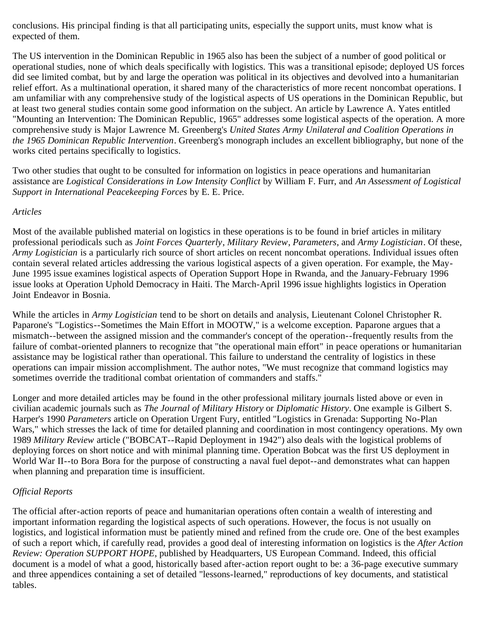conclusions. His principal finding is that all participating units, especially the support units, must know what is expected of them.

The US intervention in the Dominican Republic in 1965 also has been the subject of a number of good political or operational studies, none of which deals specifically with logistics. This was a transitional episode; deployed US forces did see limited combat, but by and large the operation was political in its objectives and devolved into a humanitarian relief effort. As a multinational operation, it shared many of the characteristics of more recent noncombat operations. I am unfamiliar with any comprehensive study of the logistical aspects of US operations in the Dominican Republic, but at least two general studies contain some good information on the subject. An article by Lawrence A. Yates entitled "Mounting an Intervention: The Dominican Republic, 1965" addresses some logistical aspects of the operation. A more comprehensive study is Major Lawrence M. Greenberg's *United States Army Unilateral and Coalition Operations in the 1965 Dominican Republic Intervention*. Greenberg's monograph includes an excellent bibliography, but none of the works cited pertains specifically to logistics.

Two other studies that ought to be consulted for information on logistics in peace operations and humanitarian assistance are *Logistical Considerations in Low Intensity Conflict* by William F. Furr, and *An Assessment of Logistical Support in International Peacekeeping Forces* by E. E. Price.

### *Articles*

Most of the available published material on logistics in these operations is to be found in brief articles in military professional periodicals such as *Joint Forces Quarterly*, *Military Review*, *Parameters*, and *Army Logistician*. Of these, *Army Logistician* is a particularly rich source of short articles on recent noncombat operations. Individual issues often contain several related articles addressing the various logistical aspects of a given operation. For example, the May-June 1995 issue examines logistical aspects of Operation Support Hope in Rwanda, and the January-February 1996 issue looks at Operation Uphold Democracy in Haiti. The March-April 1996 issue highlights logistics in Operation Joint Endeavor in Bosnia.

While the articles in *Army Logistician* tend to be short on details and analysis, Lieutenant Colonel Christopher R. Paparone's "Logistics--Sometimes the Main Effort in MOOTW," is a welcome exception. Paparone argues that a mismatch--between the assigned mission and the commander's concept of the operation--frequently results from the failure of combat-oriented planners to recognize that "the operational main effort" in peace operations or humanitarian assistance may be logistical rather than operational. This failure to understand the centrality of logistics in these operations can impair mission accomplishment. The author notes, "We must recognize that command logistics may sometimes override the traditional combat orientation of commanders and staffs."

Longer and more detailed articles may be found in the other professional military journals listed above or even in civilian academic journals such as *The Journal of Military History* or *Diplomatic History*. One example is Gilbert S. Harper's 1990 *Parameters* article on Operation Urgent Fury, entitled "Logistics in Grenada: Supporting No-Plan Wars," which stresses the lack of time for detailed planning and coordination in most contingency operations. My own 1989 *Military Review* article ("BOBCAT--Rapid Deployment in 1942") also deals with the logistical problems of deploying forces on short notice and with minimal planning time. Operation Bobcat was the first US deployment in World War II--to Bora Bora for the purpose of constructing a naval fuel depot--and demonstrates what can happen when planning and preparation time is insufficient.

# *Official Reports*

The official after-action reports of peace and humanitarian operations often contain a wealth of interesting and important information regarding the logistical aspects of such operations. However, the focus is not usually on logistics, and logistical information must be patiently mined and refined from the crude ore. One of the best examples of such a report which, if carefully read, provides a good deal of interesting information on logistics is the *After Action Review: Operation SUPPORT HOPE*, published by Headquarters, US European Command. Indeed, this official document is a model of what a good, historically based after-action report ought to be: a 36-page executive summary and three appendices containing a set of detailed "lessons-learned," reproductions of key documents, and statistical tables.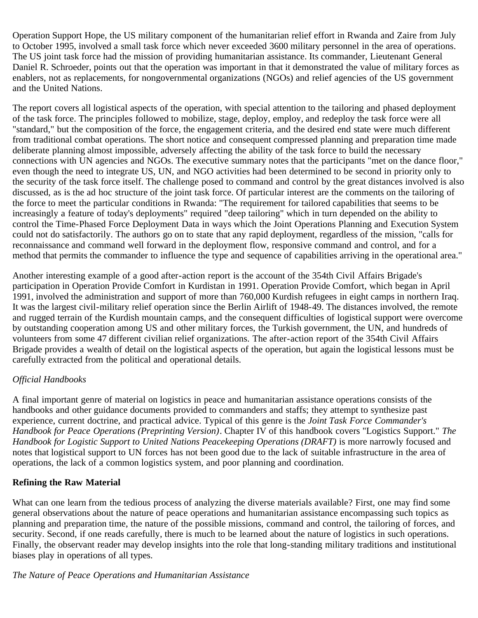Operation Support Hope, the US military component of the humanitarian relief effort in Rwanda and Zaire from July to October 1995, involved a small task force which never exceeded 3600 military personnel in the area of operations. The US joint task force had the mission of providing humanitarian assistance. Its commander, Lieutenant General Daniel R. Schroeder, points out that the operation was important in that it demonstrated the value of military forces as enablers, not as replacements, for nongovernmental organizations (NGOs) and relief agencies of the US government and the United Nations.

The report covers all logistical aspects of the operation, with special attention to the tailoring and phased deployment of the task force. The principles followed to mobilize, stage, deploy, employ, and redeploy the task force were all "standard," but the composition of the force, the engagement criteria, and the desired end state were much different from traditional combat operations. The short notice and consequent compressed planning and preparation time made deliberate planning almost impossible, adversely affecting the ability of the task force to build the necessary connections with UN agencies and NGOs. The executive summary notes that the participants "met on the dance floor," even though the need to integrate US, UN, and NGO activities had been determined to be second in priority only to the security of the task force itself. The challenge posed to command and control by the great distances involved is also discussed, as is the ad hoc structure of the joint task force. Of particular interest are the comments on the tailoring of the force to meet the particular conditions in Rwanda: "The requirement for tailored capabilities that seems to be increasingly a feature of today's deployments" required "deep tailoring" which in turn depended on the ability to control the Time-Phased Force Deployment Data in ways which the Joint Operations Planning and Execution System could not do satisfactorily. The authors go on to state that any rapid deployment, regardless of the mission, "calls for reconnaissance and command well forward in the deployment flow, responsive command and control, and for a method that permits the commander to influence the type and sequence of capabilities arriving in the operational area."

Another interesting example of a good after-action report is the account of the 354th Civil Affairs Brigade's participation in Operation Provide Comfort in Kurdistan in 1991. Operation Provide Comfort, which began in April 1991, involved the administration and support of more than 760,000 Kurdish refugees in eight camps in northern Iraq. It was the largest civil-military relief operation since the Berlin Airlift of 1948-49. The distances involved, the remote and rugged terrain of the Kurdish mountain camps, and the consequent difficulties of logistical support were overcome by outstanding cooperation among US and other military forces, the Turkish government, the UN, and hundreds of volunteers from some 47 different civilian relief organizations. The after-action report of the 354th Civil Affairs Brigade provides a wealth of detail on the logistical aspects of the operation, but again the logistical lessons must be carefully extracted from the political and operational details.

# *Official Handbooks*

A final important genre of material on logistics in peace and humanitarian assistance operations consists of the handbooks and other guidance documents provided to commanders and staffs; they attempt to synthesize past experience, current doctrine, and practical advice. Typical of this genre is the *Joint Task Force Commander's Handbook for Peace Operations (Preprinting Version)*. Chapter IV of this handbook covers "Logistics Support." *The Handbook for Logistic Support to United Nations Peacekeeping Operations (DRAFT)* is more narrowly focused and notes that logistical support to UN forces has not been good due to the lack of suitable infrastructure in the area of operations, the lack of a common logistics system, and poor planning and coordination.

### **Refining the Raw Material**

What can one learn from the tedious process of analyzing the diverse materials available? First, one may find some general observations about the nature of peace operations and humanitarian assistance encompassing such topics as planning and preparation time, the nature of the possible missions, command and control, the tailoring of forces, and security. Second, if one reads carefully, there is much to be learned about the nature of logistics in such operations. Finally, the observant reader may develop insights into the role that long-standing military traditions and institutional biases play in operations of all types.

### *The Nature of Peace Operations and Humanitarian Assistance*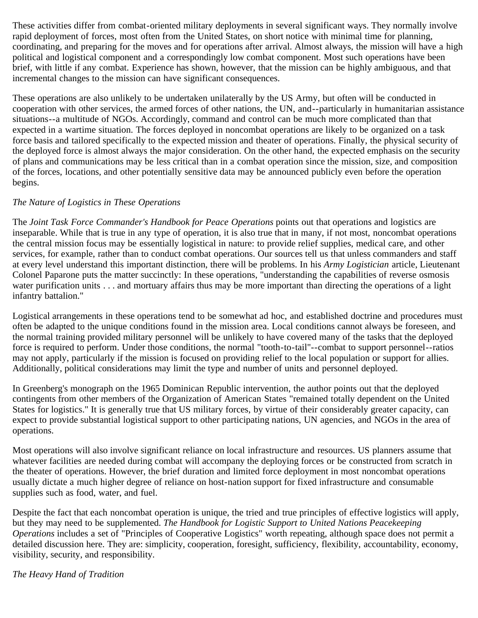These activities differ from combat-oriented military deployments in several significant ways. They normally involve rapid deployment of forces, most often from the United States, on short notice with minimal time for planning, coordinating, and preparing for the moves and for operations after arrival. Almost always, the mission will have a high political and logistical component and a correspondingly low combat component. Most such operations have been brief, with little if any combat. Experience has shown, however, that the mission can be highly ambiguous, and that incremental changes to the mission can have significant consequences.

These operations are also unlikely to be undertaken unilaterally by the US Army, but often will be conducted in cooperation with other services, the armed forces of other nations, the UN, and--particularly in humanitarian assistance situations--a multitude of NGOs. Accordingly, command and control can be much more complicated than that expected in a wartime situation. The forces deployed in noncombat operations are likely to be organized on a task force basis and tailored specifically to the expected mission and theater of operations. Finally, the physical security of the deployed force is almost always the major consideration. On the other hand, the expected emphasis on the security of plans and communications may be less critical than in a combat operation since the mission, size, and composition of the forces, locations, and other potentially sensitive data may be announced publicly even before the operation begins.

# *The Nature of Logistics in These Operations*

The *Joint Task Force Commander's Handbook for Peace Operations* points out that operations and logistics are inseparable. While that is true in any type of operation, it is also true that in many, if not most, noncombat operations the central mission focus may be essentially logistical in nature: to provide relief supplies, medical care, and other services, for example, rather than to conduct combat operations. Our sources tell us that unless commanders and staff at every level understand this important distinction, there will be problems. In his *Army Logistician* article, Lieutenant Colonel Paparone puts the matter succinctly: In these operations, "understanding the capabilities of reverse osmosis water purification units . . . and mortuary affairs thus may be more important than directing the operations of a light infantry battalion."

Logistical arrangements in these operations tend to be somewhat ad hoc, and established doctrine and procedures must often be adapted to the unique conditions found in the mission area. Local conditions cannot always be foreseen, and the normal training provided military personnel will be unlikely to have covered many of the tasks that the deployed force is required to perform. Under those conditions, the normal "tooth-to-tail"--combat to support personnel--ratios may not apply, particularly if the mission is focused on providing relief to the local population or support for allies. Additionally, political considerations may limit the type and number of units and personnel deployed.

In Greenberg's monograph on the 1965 Dominican Republic intervention, the author points out that the deployed contingents from other members of the Organization of American States "remained totally dependent on the United States for logistics." It is generally true that US military forces, by virtue of their considerably greater capacity, can expect to provide substantial logistical support to other participating nations, UN agencies, and NGOs in the area of operations.

Most operations will also involve significant reliance on local infrastructure and resources. US planners assume that whatever facilities are needed during combat will accompany the deploying forces or be constructed from scratch in the theater of operations. However, the brief duration and limited force deployment in most noncombat operations usually dictate a much higher degree of reliance on host-nation support for fixed infrastructure and consumable supplies such as food, water, and fuel.

Despite the fact that each noncombat operation is unique, the tried and true principles of effective logistics will apply, but they may need to be supplemented. *The Handbook for Logistic Support to United Nations Peacekeeping Operations* includes a set of "Principles of Cooperative Logistics" worth repeating, although space does not permit a detailed discussion here. They are: simplicity, cooperation, foresight, sufficiency, flexibility, accountability, economy, visibility, security, and responsibility.

*The Heavy Hand of Tradition*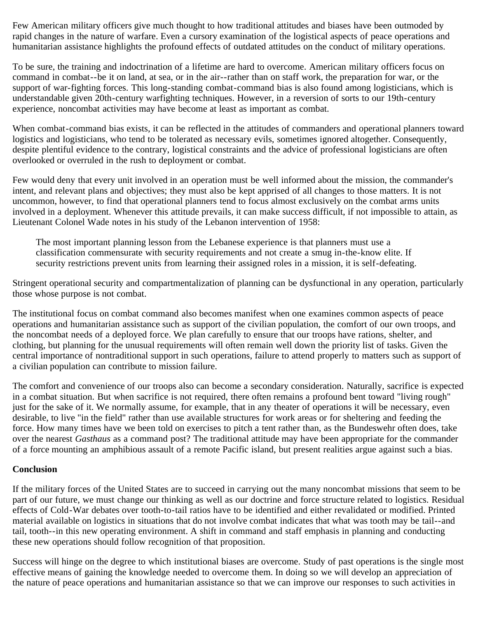Few American military officers give much thought to how traditional attitudes and biases have been outmoded by rapid changes in the nature of warfare. Even a cursory examination of the logistical aspects of peace operations and humanitarian assistance highlights the profound effects of outdated attitudes on the conduct of military operations.

To be sure, the training and indoctrination of a lifetime are hard to overcome. American military officers focus on command in combat--be it on land, at sea, or in the air--rather than on staff work, the preparation for war, or the support of war-fighting forces. This long-standing combat-command bias is also found among logisticians, which is understandable given 20th-century warfighting techniques. However, in a reversion of sorts to our 19th-century experience, noncombat activities may have become at least as important as combat.

When combat-command bias exists, it can be reflected in the attitudes of commanders and operational planners toward logistics and logisticians, who tend to be tolerated as necessary evils, sometimes ignored altogether. Consequently, despite plentiful evidence to the contrary, logistical constraints and the advice of professional logisticians are often overlooked or overruled in the rush to deployment or combat.

Few would deny that every unit involved in an operation must be well informed about the mission, the commander's intent, and relevant plans and objectives; they must also be kept apprised of all changes to those matters. It is not uncommon, however, to find that operational planners tend to focus almost exclusively on the combat arms units involved in a deployment. Whenever this attitude prevails, it can make success difficult, if not impossible to attain, as Lieutenant Colonel Wade notes in his study of the Lebanon intervention of 1958:

The most important planning lesson from the Lebanese experience is that planners must use a classification commensurate with security requirements and not create a smug in-the-know elite. If security restrictions prevent units from learning their assigned roles in a mission, it is self-defeating.

Stringent operational security and compartmentalization of planning can be dysfunctional in any operation, particularly those whose purpose is not combat.

The institutional focus on combat command also becomes manifest when one examines common aspects of peace operations and humanitarian assistance such as support of the civilian population, the comfort of our own troops, and the noncombat needs of a deployed force. We plan carefully to ensure that our troops have rations, shelter, and clothing, but planning for the unusual requirements will often remain well down the priority list of tasks. Given the central importance of nontraditional support in such operations, failure to attend properly to matters such as support of a civilian population can contribute to mission failure.

The comfort and convenience of our troops also can become a secondary consideration. Naturally, sacrifice is expected in a combat situation. But when sacrifice is not required, there often remains a profound bent toward "living rough" just for the sake of it. We normally assume, for example, that in any theater of operations it will be necessary, even desirable, to live "in the field" rather than use available structures for work areas or for sheltering and feeding the force. How many times have we been told on exercises to pitch a tent rather than, as the Bundeswehr often does, take over the nearest *Gasthaus* as a command post? The traditional attitude may have been appropriate for the commander of a force mounting an amphibious assault of a remote Pacific island, but present realities argue against such a bias.

### **Conclusion**

If the military forces of the United States are to succeed in carrying out the many noncombat missions that seem to be part of our future, we must change our thinking as well as our doctrine and force structure related to logistics. Residual effects of Cold-War debates over tooth-to-tail ratios have to be identified and either revalidated or modified. Printed material available on logistics in situations that do not involve combat indicates that what was tooth may be tail--and tail, tooth--in this new operating environment. A shift in command and staff emphasis in planning and conducting these new operations should follow recognition of that proposition.

Success will hinge on the degree to which institutional biases are overcome. Study of past operations is the single most effective means of gaining the knowledge needed to overcome them. In doing so we will develop an appreciation of the nature of peace operations and humanitarian assistance so that we can improve our responses to such activities in